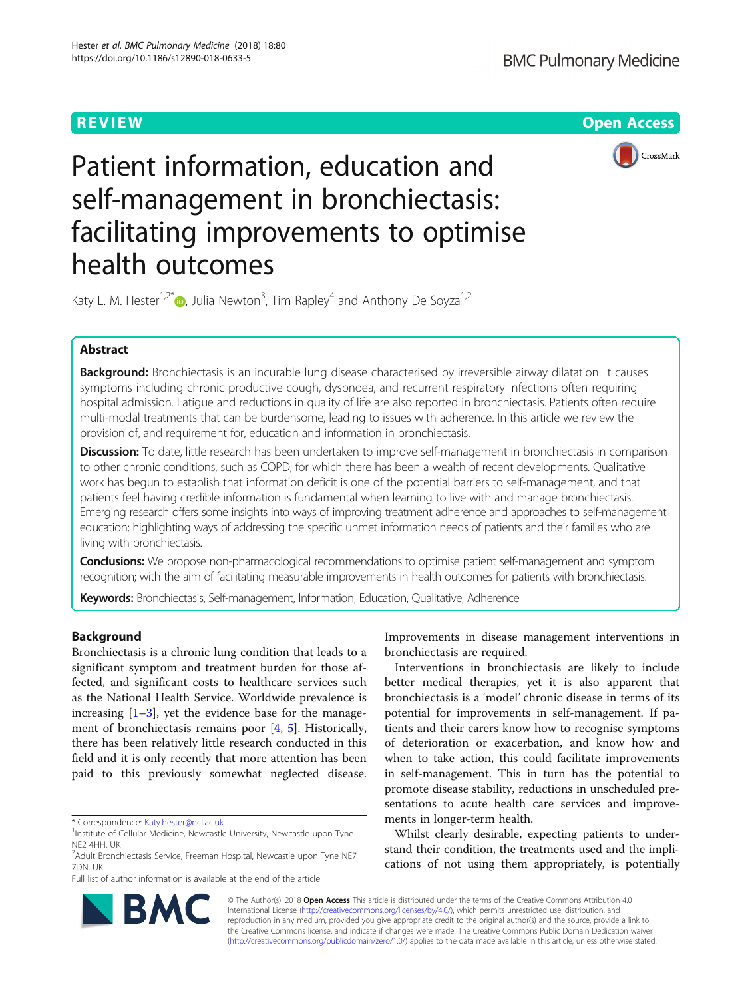**REVIEW CONTROL** CONTROL CONTROL CONTROL CONTROL CONTROL CONTROL CONTROL CONTROL CONTROL CONTROL CONTROL CONTROL CONTROL CONTROL CONTROL CONTROL CONTROL CONTROL CONTROL CONTROL CONTROL CONTROL CONTROL CONTROL CONTROL CONTR



# Patient information, education and self-management in bronchiectasis: facilitating improvements to optimise health outcomes

Katy L. M. Hester<sup>1,2[\\*](http://orcid.org/0000-0002-9246-2450)</sup> <sub>.</sub> Julia Newton<sup>3</sup>, Tim Rapley<sup>4</sup> and Anthony De Soyza<sup>1,2</sup>

# Abstract

Background: Bronchiectasis is an incurable lung disease characterised by irreversible airway dilatation. It causes symptoms including chronic productive cough, dyspnoea, and recurrent respiratory infections often requiring hospital admission. Fatigue and reductions in quality of life are also reported in bronchiectasis. Patients often require multi-modal treatments that can be burdensome, leading to issues with adherence. In this article we review the provision of, and requirement for, education and information in bronchiectasis.

Discussion: To date, little research has been undertaken to improve self-management in bronchiectasis in comparison to other chronic conditions, such as COPD, for which there has been a wealth of recent developments. Qualitative work has begun to establish that information deficit is one of the potential barriers to self-management, and that patients feel having credible information is fundamental when learning to live with and manage bronchiectasis. Emerging research offers some insights into ways of improving treatment adherence and approaches to self-management education; highlighting ways of addressing the specific unmet information needs of patients and their families who are living with bronchiectasis.

**Conclusions:** We propose non-pharmacological recommendations to optimise patient self-management and symptom recognition; with the aim of facilitating measurable improvements in health outcomes for patients with bronchiectasis.

Keywords: Bronchiectasis, Self-management, Information, Education, Qualitative, Adherence

# Background

Bronchiectasis is a chronic lung condition that leads to a significant symptom and treatment burden for those affected, and significant costs to healthcare services such as the National Health Service. Worldwide prevalence is increasing  $[1-3]$  $[1-3]$  $[1-3]$ , yet the evidence base for the management of bronchiectasis remains poor [\[4](#page-6-0), [5\]](#page-6-0). Historically, there has been relatively little research conducted in this field and it is only recently that more attention has been paid to this previously somewhat neglected disease.

Full list of author information is available at the end of the article

Improvements in disease management interventions in bronchiectasis are required.

Interventions in bronchiectasis are likely to include better medical therapies, yet it is also apparent that bronchiectasis is a 'model' chronic disease in terms of its potential for improvements in self-management. If patients and their carers know how to recognise symptoms of deterioration or exacerbation, and know how and when to take action, this could facilitate improvements in self-management. This in turn has the potential to promote disease stability, reductions in unscheduled presentations to acute health care services and improvements in longer-term health.

Whilst clearly desirable, expecting patients to understand their condition, the treatments used and the implications of not using them appropriately, is potentially



© The Author(s). 2018 Open Access This article is distributed under the terms of the Creative Commons Attribution 4.0 International License [\(http://creativecommons.org/licenses/by/4.0/](http://creativecommons.org/licenses/by/4.0/)), which permits unrestricted use, distribution, and reproduction in any medium, provided you give appropriate credit to the original author(s) and the source, provide a link to the Creative Commons license, and indicate if changes were made. The Creative Commons Public Domain Dedication waiver [\(http://creativecommons.org/publicdomain/zero/1.0/](http://creativecommons.org/publicdomain/zero/1.0/)) applies to the data made available in this article, unless otherwise stated.

<sup>\*</sup> Correspondence: [Katy.hester@ncl.ac.uk](mailto:Katy.hester@ncl.ac.uk) <sup>1</sup>

<sup>&</sup>lt;sup>1</sup>Institute of Cellular Medicine, Newcastle University, Newcastle upon Tyne NE2 4HH, UK

<sup>&</sup>lt;sup>2</sup> Adult Bronchiectasis Service, Freeman Hospital, Newcastle upon Tyne NE7 7DN, UK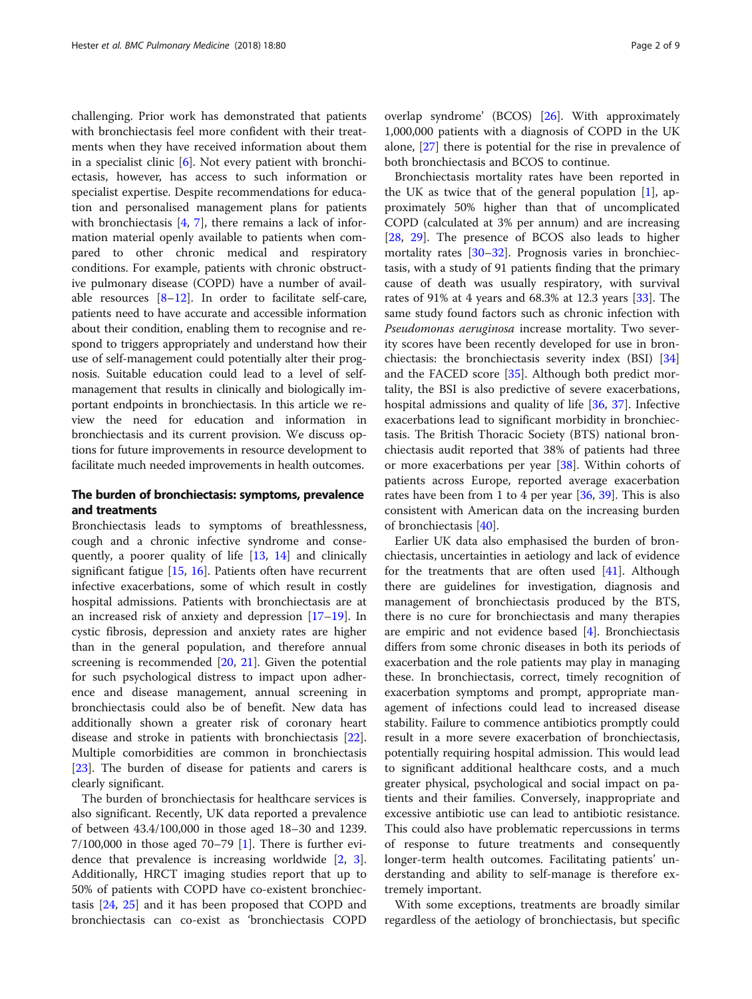challenging. Prior work has demonstrated that patients with bronchiectasis feel more confident with their treatments when they have received information about them in a specialist clinic  $[6]$  $[6]$ . Not every patient with bronchiectasis, however, has access to such information or specialist expertise. Despite recommendations for education and personalised management plans for patients with bronchiectasis [\[4](#page-6-0), [7\]](#page-6-0), there remains a lack of information material openly available to patients when compared to other chronic medical and respiratory conditions. For example, patients with chronic obstructive pulmonary disease (COPD) have a number of available resources  $[8-12]$  $[8-12]$  $[8-12]$  $[8-12]$ . In order to facilitate self-care, patients need to have accurate and accessible information about their condition, enabling them to recognise and respond to triggers appropriately and understand how their use of self-management could potentially alter their prognosis. Suitable education could lead to a level of selfmanagement that results in clinically and biologically important endpoints in bronchiectasis. In this article we review the need for education and information in bronchiectasis and its current provision. We discuss options for future improvements in resource development to facilitate much needed improvements in health outcomes.

# The burden of bronchiectasis: symptoms, prevalence and treatments

Bronchiectasis leads to symptoms of breathlessness, cough and a chronic infective syndrome and consequently, a poorer quality of life [[13](#page-7-0), [14](#page-7-0)] and clinically significant fatigue [[15,](#page-7-0) [16](#page-7-0)]. Patients often have recurrent infective exacerbations, some of which result in costly hospital admissions. Patients with bronchiectasis are at an increased risk of anxiety and depression [[17](#page-7-0)–[19](#page-7-0)]. In cystic fibrosis, depression and anxiety rates are higher than in the general population, and therefore annual screening is recommended [\[20,](#page-7-0) [21\]](#page-7-0). Given the potential for such psychological distress to impact upon adherence and disease management, annual screening in bronchiectasis could also be of benefit. New data has additionally shown a greater risk of coronary heart disease and stroke in patients with bronchiectasis [\[22](#page-7-0)]. Multiple comorbidities are common in bronchiectasis [[23\]](#page-7-0). The burden of disease for patients and carers is clearly significant.

The burden of bronchiectasis for healthcare services is also significant. Recently, UK data reported a prevalence of between 43.4/100,000 in those aged 18–30 and 1239.  $7/100,000$  in those aged  $70-79$  [[1\]](#page-6-0). There is further evidence that prevalence is increasing worldwide [[2](#page-6-0), [3](#page-6-0)]. Additionally, HRCT imaging studies report that up to 50% of patients with COPD have co-existent bronchiectasis [[24](#page-7-0), [25](#page-7-0)] and it has been proposed that COPD and bronchiectasis can co-exist as 'bronchiectasis COPD overlap syndrome' (BCOS) [\[26](#page-7-0)]. With approximately 1,000,000 patients with a diagnosis of COPD in the UK alone, [\[27\]](#page-7-0) there is potential for the rise in prevalence of both bronchiectasis and BCOS to continue.

Bronchiectasis mortality rates have been reported in the UK as twice that of the general population  $[1]$  $[1]$ , approximately 50% higher than that of uncomplicated COPD (calculated at 3% per annum) and are increasing [[28,](#page-7-0) [29\]](#page-7-0). The presence of BCOS also leads to higher mortality rates [[30](#page-7-0)–[32\]](#page-7-0). Prognosis varies in bronchiectasis, with a study of 91 patients finding that the primary cause of death was usually respiratory, with survival rates of 91% at 4 years and 68.3% at 12.3 years [\[33\]](#page-7-0). The same study found factors such as chronic infection with Pseudomonas aeruginosa increase mortality. Two severity scores have been recently developed for use in bronchiectasis: the bronchiectasis severity index (BSI) [[34](#page-7-0)] and the FACED score [[35](#page-7-0)]. Although both predict mortality, the BSI is also predictive of severe exacerbations, hospital admissions and quality of life [\[36](#page-7-0), [37\]](#page-7-0). Infective exacerbations lead to significant morbidity in bronchiectasis. The British Thoracic Society (BTS) national bronchiectasis audit reported that 38% of patients had three or more exacerbations per year [[38\]](#page-7-0). Within cohorts of patients across Europe, reported average exacerbation rates have been from 1 to 4 per year [[36](#page-7-0), [39](#page-7-0)]. This is also consistent with American data on the increasing burden of bronchiectasis [\[40](#page-7-0)].

Earlier UK data also emphasised the burden of bronchiectasis, uncertainties in aetiology and lack of evidence for the treatments that are often used  $[41]$  $[41]$ . Although there are guidelines for investigation, diagnosis and management of bronchiectasis produced by the BTS, there is no cure for bronchiectasis and many therapies are empiric and not evidence based [[4\]](#page-6-0). Bronchiectasis differs from some chronic diseases in both its periods of exacerbation and the role patients may play in managing these. In bronchiectasis, correct, timely recognition of exacerbation symptoms and prompt, appropriate management of infections could lead to increased disease stability. Failure to commence antibiotics promptly could result in a more severe exacerbation of bronchiectasis, potentially requiring hospital admission. This would lead to significant additional healthcare costs, and a much greater physical, psychological and social impact on patients and their families. Conversely, inappropriate and excessive antibiotic use can lead to antibiotic resistance. This could also have problematic repercussions in terms of response to future treatments and consequently longer-term health outcomes. Facilitating patients' understanding and ability to self-manage is therefore extremely important.

With some exceptions, treatments are broadly similar regardless of the aetiology of bronchiectasis, but specific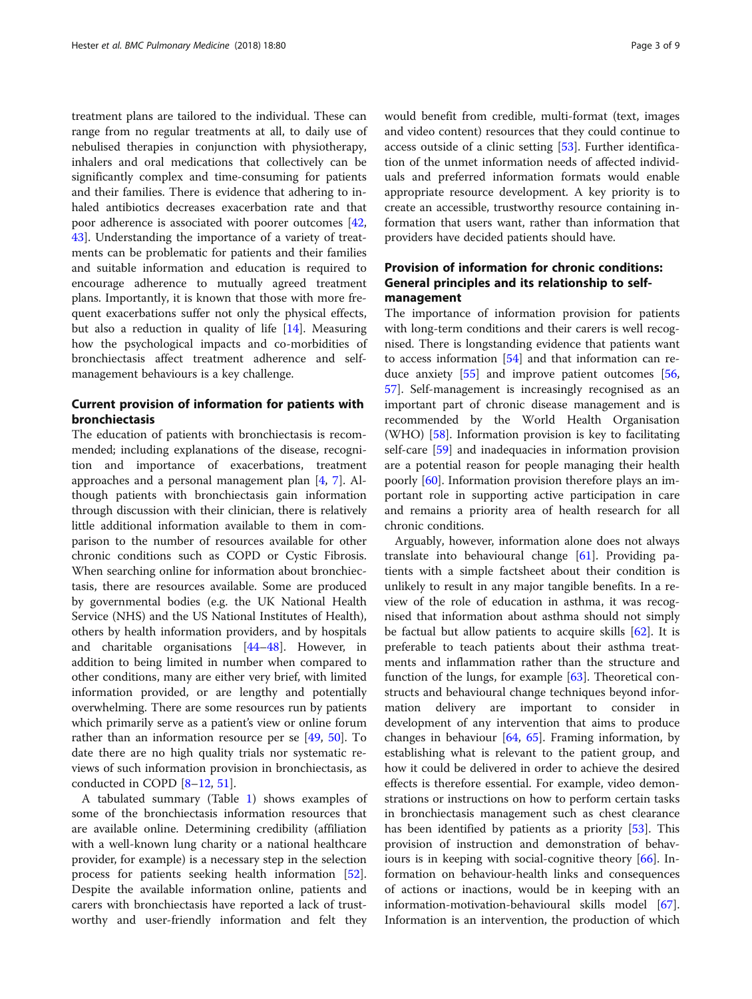treatment plans are tailored to the individual. These can range from no regular treatments at all, to daily use of nebulised therapies in conjunction with physiotherapy, inhalers and oral medications that collectively can be significantly complex and time-consuming for patients and their families. There is evidence that adhering to inhaled antibiotics decreases exacerbation rate and that poor adherence is associated with poorer outcomes [[42](#page-7-0), [43\]](#page-7-0). Understanding the importance of a variety of treatments can be problematic for patients and their families and suitable information and education is required to encourage adherence to mutually agreed treatment plans. Importantly, it is known that those with more frequent exacerbations suffer not only the physical effects, but also a reduction in quality of life [\[14\]](#page-7-0). Measuring how the psychological impacts and co-morbidities of bronchiectasis affect treatment adherence and selfmanagement behaviours is a key challenge.

# Current provision of information for patients with bronchiectasis

The education of patients with bronchiectasis is recommended; including explanations of the disease, recognition and importance of exacerbations, treatment approaches and a personal management plan [[4,](#page-6-0) [7](#page-6-0)]. Although patients with bronchiectasis gain information through discussion with their clinician, there is relatively little additional information available to them in comparison to the number of resources available for other chronic conditions such as COPD or Cystic Fibrosis. When searching online for information about bronchiectasis, there are resources available. Some are produced by governmental bodies (e.g. the UK National Health Service (NHS) and the US National Institutes of Health), others by health information providers, and by hospitals and charitable organisations [[44](#page-7-0)–[48](#page-7-0)]. However, in addition to being limited in number when compared to other conditions, many are either very brief, with limited information provided, or are lengthy and potentially overwhelming. There are some resources run by patients which primarily serve as a patient's view or online forum rather than an information resource per se [\[49,](#page-7-0) [50\]](#page-7-0). To date there are no high quality trials nor systematic reviews of such information provision in bronchiectasis, as conducted in COPD [\[8](#page-6-0)–[12,](#page-7-0) [51\]](#page-7-0).

A tabulated summary (Table [1](#page-3-0)) shows examples of some of the bronchiectasis information resources that are available online. Determining credibility (affiliation with a well-known lung charity or a national healthcare provider, for example) is a necessary step in the selection process for patients seeking health information [\[52](#page-7-0)]. Despite the available information online, patients and carers with bronchiectasis have reported a lack of trustworthy and user-friendly information and felt they would benefit from credible, multi-format (text, images and video content) resources that they could continue to access outside of a clinic setting [[53\]](#page-7-0). Further identification of the unmet information needs of affected individuals and preferred information formats would enable appropriate resource development. A key priority is to create an accessible, trustworthy resource containing information that users want, rather than information that providers have decided patients should have.

# Provision of information for chronic conditions: General principles and its relationship to selfmanagement

The importance of information provision for patients with long-term conditions and their carers is well recognised. There is longstanding evidence that patients want to access information [\[54](#page-7-0)] and that information can reduce anxiety [\[55\]](#page-7-0) and improve patient outcomes [[56](#page-7-0), [57\]](#page-7-0). Self-management is increasingly recognised as an important part of chronic disease management and is recommended by the World Health Organisation (WHO) [\[58\]](#page-7-0). Information provision is key to facilitating self-care [[59](#page-7-0)] and inadequacies in information provision are a potential reason for people managing their health poorly [[60\]](#page-7-0). Information provision therefore plays an important role in supporting active participation in care and remains a priority area of health research for all chronic conditions.

Arguably, however, information alone does not always translate into behavioural change [[61\]](#page-7-0). Providing patients with a simple factsheet about their condition is unlikely to result in any major tangible benefits. In a review of the role of education in asthma, it was recognised that information about asthma should not simply be factual but allow patients to acquire skills [[62](#page-7-0)]. It is preferable to teach patients about their asthma treatments and inflammation rather than the structure and function of the lungs, for example [\[63\]](#page-7-0). Theoretical constructs and behavioural change techniques beyond information delivery are important to consider in development of any intervention that aims to produce changes in behaviour  $[64, 65]$  $[64, 65]$  $[64, 65]$  $[64, 65]$ . Framing information, by establishing what is relevant to the patient group, and how it could be delivered in order to achieve the desired effects is therefore essential. For example, video demonstrations or instructions on how to perform certain tasks in bronchiectasis management such as chest clearance has been identified by patients as a priority [[53\]](#page-7-0). This provision of instruction and demonstration of behaviours is in keeping with social-cognitive theory [\[66](#page-7-0)]. Information on behaviour-health links and consequences of actions or inactions, would be in keeping with an information-motivation-behavioural skills model [\[67](#page-7-0)]. Information is an intervention, the production of which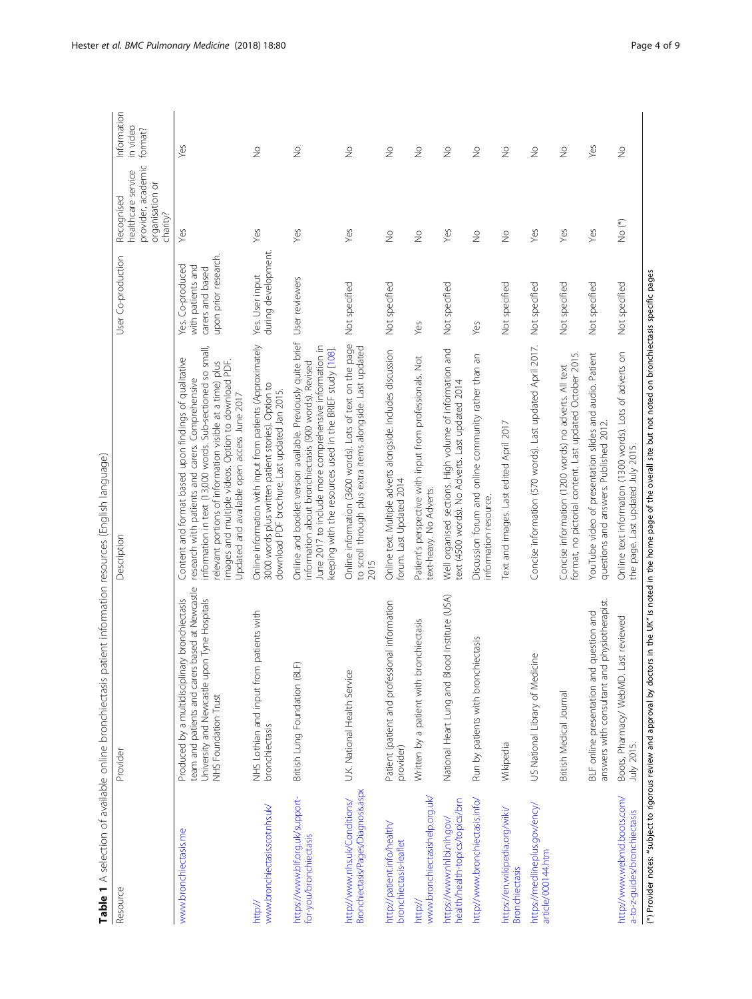<span id="page-3-0"></span>

| Resource                                                             | Provider                                                                                                                                                                  | Description                                                                                                                                                                                                                                                                                                                               | User Co-production                                                                | provider, academic<br>healthcare service<br>organisation or<br>Recognised<br>charity? | Information<br>in video<br>format? |
|----------------------------------------------------------------------|---------------------------------------------------------------------------------------------------------------------------------------------------------------------------|-------------------------------------------------------------------------------------------------------------------------------------------------------------------------------------------------------------------------------------------------------------------------------------------------------------------------------------------|-----------------------------------------------------------------------------------|---------------------------------------------------------------------------------------|------------------------------------|
| www.bronchiectasis.me                                                | team and patients and carers based at Newcastle<br>Produced by a multidisciplinary bronchiectasis<br>University and Newcastle upon Tyne Hospitals<br>NHS Foundation Trust | information in text (13,000 words. Sub-sectioned so small,<br>Content and format based upon findings of qualitative<br>relevant portions of information visible at a time) plus<br>images and multiple videos. Option to download PDF.<br>research with patients and carers. Comprehensive<br>Updated and available open access June 2017 | upon prior research.<br>Yes. Co-produced<br>with patients and<br>carers and based | Yes                                                                                   | Yes                                |
| www.bronchiectasis.scot.nhs.uk/<br>http://                           | NHS Lothian and input from patients with<br>bronchiectasis                                                                                                                | Online information with input from patients (Approximately<br>3000 words plus written patient stories). Option to<br>download PDF brochure. Last updated Jan 2015.                                                                                                                                                                        | during development.<br>Yes. User input                                            | Yes                                                                                   | $\geq$                             |
| https://www.blf.org.uk/support-<br>for-you/bronchiectasis            | €<br>British Lung Foundation (BL                                                                                                                                          | Online and booklet version available. Previously quite brief<br>June 2017 to include more comprehensive information in<br>keeping with the resources used in the BRIEF study [108].<br>information about bronchiectasis (900 words). Revised                                                                                              | User reviewers                                                                    | Yes                                                                                   | $\gtrsim$                          |
| Bronchiectasis/Pages/Diagnosis.aspx<br>http://www.nhs.uk/Conditions/ | U.K. National Health Service                                                                                                                                              | Online information (3600 words). Lots of text on the page<br>to scroll through plus extra items alongside. Last updated<br>2015                                                                                                                                                                                                           | Not specified                                                                     | Yes                                                                                   | $\stackrel{\circ}{\geq}$           |
| http://patient.info/health/<br>bronchiectasis-leaflet                | Patient (patient and professional information<br>provider)                                                                                                                | Online text. Multiple adverts alongside. Includes discussion<br>forum. Last Updated 2014                                                                                                                                                                                                                                                  | Not specified                                                                     | $\stackrel{\circ}{\geq}$                                                              | $\stackrel{\circ}{\geq}$           |
| www.bronchiectasishelp.org.uk/<br>http://                            | Written by a patient with bronchiectasis                                                                                                                                  | Patient's perspective with input from professionals. Not<br>text-heavy. No Adverts.                                                                                                                                                                                                                                                       | Yes                                                                               | $\geq$                                                                                | $\gtrsim$                          |
| health/health-topics/topics/brn<br>https://www.nhlbi.nih.gov/        | National Heart Lung and Blood Institute (USA)                                                                                                                             | Well organised sections. High volume of information and<br>text (4500 words). No Adverts. Last updated 2014                                                                                                                                                                                                                               | Not specified                                                                     | Yes                                                                                   | $\geq$                             |
| http://www.bronchiectasis.info/                                      | Run by patients with bronchiectasis                                                                                                                                       | Discussion forum and online community rather than an<br>information resource.                                                                                                                                                                                                                                                             | Yes                                                                               | $\stackrel{\circ}{\geq}$                                                              | $\stackrel{\circ}{\geq}$           |
| https://en.wikipedia.org/wiki/<br><b>Bronchiectasis</b>              | Wikipedia                                                                                                                                                                 | Text and images. Last edited April 2017                                                                                                                                                                                                                                                                                                   | Not specified                                                                     | $\frac{1}{2}$                                                                         | $\frac{1}{2}$                      |
| https://medlineplus.gov/ency/<br>article/000144.htm                  | US National Library of Medicine                                                                                                                                           | Concise information (570 words). Last updated April 2017.                                                                                                                                                                                                                                                                                 | Not specified                                                                     | Yes                                                                                   | $\stackrel{\circ}{\geq}$           |
|                                                                      | British Medical Journal                                                                                                                                                   | format, no pictorial content. Last updated October 2015.<br>Concise information (1200 words) no adverts. All text                                                                                                                                                                                                                         | Not specified                                                                     | Yes                                                                                   | $\geq$                             |
|                                                                      | answers with consultant and physiotherapist.<br>BLF online presentation and question and                                                                                  | YouTube video of presentation slides and audio. Patient<br>questions and answers. Published 2012.                                                                                                                                                                                                                                         | Not specified                                                                     | Yes                                                                                   | Yes                                |
| http://www.webmd.boots.com/<br>a-to-z-guides/bronchiectasis          | Last reviewed<br>Boots, Pharmacy/WebMD.<br><b>July 2015.</b>                                                                                                              | Online text information (1300 words). Lots of adverts on<br>the page. Last updated July 2015.                                                                                                                                                                                                                                             | Not specified                                                                     | No <sup>(*)</sup>                                                                     | $\frac{1}{2}$                      |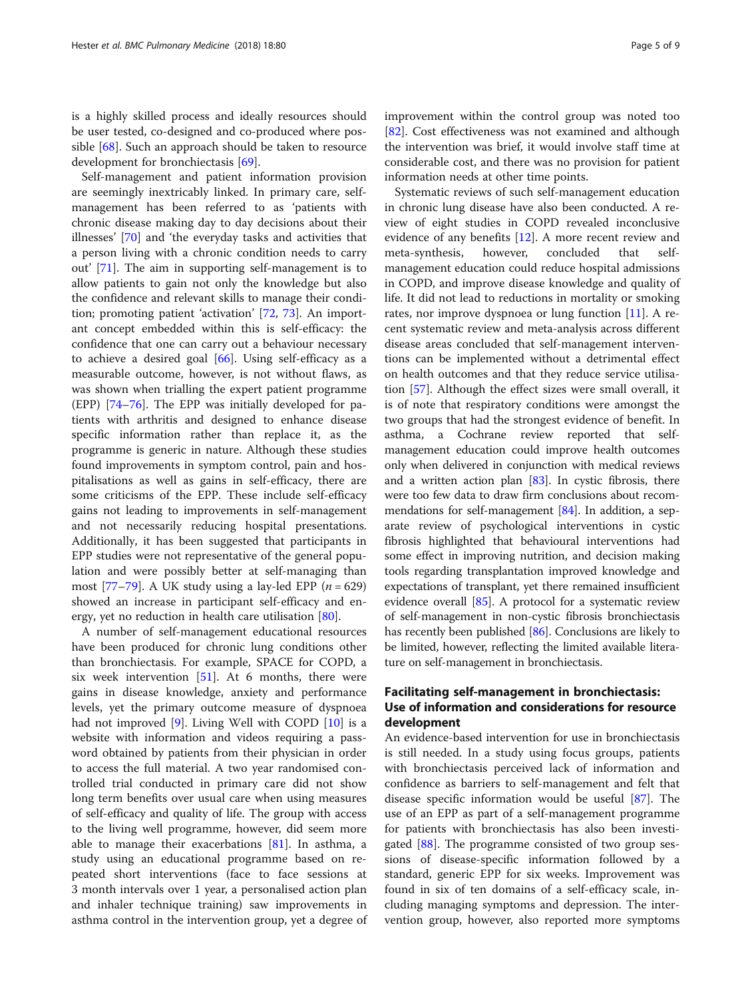is a highly skilled process and ideally resources should be user tested, co-designed and co-produced where pos-sible [\[68](#page-7-0)]. Such an approach should be taken to resource development for bronchiectasis [\[69](#page-7-0)].

Self-management and patient information provision are seemingly inextricably linked. In primary care, selfmanagement has been referred to as 'patients with chronic disease making day to day decisions about their illnesses' [[70\]](#page-7-0) and 'the everyday tasks and activities that a person living with a chronic condition needs to carry out' [\[71](#page-8-0)]. The aim in supporting self-management is to allow patients to gain not only the knowledge but also the confidence and relevant skills to manage their condition; promoting patient 'activation' [\[72](#page-8-0), [73\]](#page-8-0). An important concept embedded within this is self-efficacy: the confidence that one can carry out a behaviour necessary to achieve a desired goal  $[66]$  $[66]$  $[66]$ . Using self-efficacy as a measurable outcome, however, is not without flaws, as was shown when trialling the expert patient programme (EPP) [[74](#page-8-0)–[76](#page-8-0)]. The EPP was initially developed for patients with arthritis and designed to enhance disease specific information rather than replace it, as the programme is generic in nature. Although these studies found improvements in symptom control, pain and hospitalisations as well as gains in self-efficacy, there are some criticisms of the EPP. These include self-efficacy gains not leading to improvements in self-management and not necessarily reducing hospital presentations. Additionally, it has been suggested that participants in EPP studies were not representative of the general population and were possibly better at self-managing than most [[77](#page-8-0)–[79](#page-8-0)]. A UK study using a lay-led EPP  $(n = 629)$ showed an increase in participant self-efficacy and energy, yet no reduction in health care utilisation [\[80\]](#page-8-0).

A number of self-management educational resources have been produced for chronic lung conditions other than bronchiectasis. For example, SPACE for COPD, a six week intervention  $[51]$  $[51]$  $[51]$ . At 6 months, there were gains in disease knowledge, anxiety and performance levels, yet the primary outcome measure of dyspnoea had not improved [\[9](#page-6-0)]. Living Well with COPD [[10](#page-6-0)] is a website with information and videos requiring a password obtained by patients from their physician in order to access the full material. A two year randomised controlled trial conducted in primary care did not show long term benefits over usual care when using measures of self-efficacy and quality of life. The group with access to the living well programme, however, did seem more able to manage their exacerbations [[81\]](#page-8-0). In asthma, a study using an educational programme based on repeated short interventions (face to face sessions at 3 month intervals over 1 year, a personalised action plan and inhaler technique training) saw improvements in asthma control in the intervention group, yet a degree of improvement within the control group was noted too [[82\]](#page-8-0). Cost effectiveness was not examined and although the intervention was brief, it would involve staff time at considerable cost, and there was no provision for patient information needs at other time points.

Systematic reviews of such self-management education in chronic lung disease have also been conducted. A review of eight studies in COPD revealed inconclusive evidence of any benefits [[12\]](#page-7-0). A more recent review and meta-synthesis, however, concluded that selfmanagement education could reduce hospital admissions in COPD, and improve disease knowledge and quality of life. It did not lead to reductions in mortality or smoking rates, nor improve dyspnoea or lung function [[11](#page-7-0)]. A recent systematic review and meta-analysis across different disease areas concluded that self-management interventions can be implemented without a detrimental effect on health outcomes and that they reduce service utilisation [[57](#page-7-0)]. Although the effect sizes were small overall, it is of note that respiratory conditions were amongst the two groups that had the strongest evidence of benefit. In asthma, a Cochrane review reported that selfmanagement education could improve health outcomes only when delivered in conjunction with medical reviews and a written action plan  $[83]$  $[83]$  $[83]$ . In cystic fibrosis, there were too few data to draw firm conclusions about recommendations for self-management [\[84\]](#page-8-0). In addition, a separate review of psychological interventions in cystic fibrosis highlighted that behavioural interventions had some effect in improving nutrition, and decision making tools regarding transplantation improved knowledge and expectations of transplant, yet there remained insufficient evidence overall [[85](#page-8-0)]. A protocol for a systematic review of self-management in non-cystic fibrosis bronchiectasis has recently been published [\[86\]](#page-8-0). Conclusions are likely to be limited, however, reflecting the limited available literature on self-management in bronchiectasis.

# Facilitating self-management in bronchiectasis: Use of information and considerations for resource development

An evidence-based intervention for use in bronchiectasis is still needed. In a study using focus groups, patients with bronchiectasis perceived lack of information and confidence as barriers to self-management and felt that disease specific information would be useful [[87](#page-8-0)]. The use of an EPP as part of a self-management programme for patients with bronchiectasis has also been investigated [\[88](#page-8-0)]. The programme consisted of two group sessions of disease-specific information followed by a standard, generic EPP for six weeks. Improvement was found in six of ten domains of a self-efficacy scale, including managing symptoms and depression. The intervention group, however, also reported more symptoms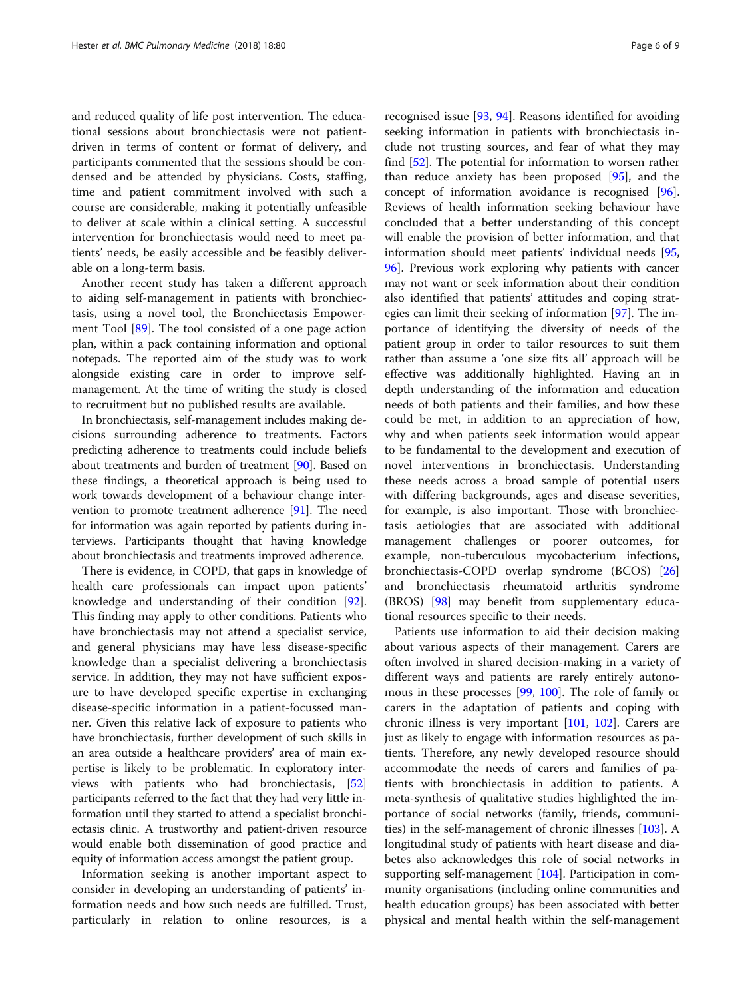and reduced quality of life post intervention. The educational sessions about bronchiectasis were not patientdriven in terms of content or format of delivery, and participants commented that the sessions should be condensed and be attended by physicians. Costs, staffing, time and patient commitment involved with such a course are considerable, making it potentially unfeasible to deliver at scale within a clinical setting. A successful intervention for bronchiectasis would need to meet patients' needs, be easily accessible and be feasibly deliverable on a long-term basis.

Another recent study has taken a different approach to aiding self-management in patients with bronchiectasis, using a novel tool, the Bronchiectasis Empowerment Tool [\[89\]](#page-8-0). The tool consisted of a one page action plan, within a pack containing information and optional notepads. The reported aim of the study was to work alongside existing care in order to improve selfmanagement. At the time of writing the study is closed to recruitment but no published results are available.

In bronchiectasis, self-management includes making decisions surrounding adherence to treatments. Factors predicting adherence to treatments could include beliefs about treatments and burden of treatment [\[90](#page-8-0)]. Based on these findings, a theoretical approach is being used to work towards development of a behaviour change intervention to promote treatment adherence [[91](#page-8-0)]. The need for information was again reported by patients during interviews. Participants thought that having knowledge about bronchiectasis and treatments improved adherence.

There is evidence, in COPD, that gaps in knowledge of health care professionals can impact upon patients' knowledge and understanding of their condition [\[92](#page-8-0)]. This finding may apply to other conditions. Patients who have bronchiectasis may not attend a specialist service, and general physicians may have less disease-specific knowledge than a specialist delivering a bronchiectasis service. In addition, they may not have sufficient exposure to have developed specific expertise in exchanging disease-specific information in a patient-focussed manner. Given this relative lack of exposure to patients who have bronchiectasis, further development of such skills in an area outside a healthcare providers' area of main expertise is likely to be problematic. In exploratory interviews with patients who had bronchiectasis, [[52](#page-7-0)] participants referred to the fact that they had very little information until they started to attend a specialist bronchiectasis clinic. A trustworthy and patient-driven resource would enable both dissemination of good practice and equity of information access amongst the patient group.

Information seeking is another important aspect to consider in developing an understanding of patients' information needs and how such needs are fulfilled. Trust, particularly in relation to online resources, is a

recognised issue [[93,](#page-8-0) [94\]](#page-8-0). Reasons identified for avoiding seeking information in patients with bronchiectasis include not trusting sources, and fear of what they may find [\[52\]](#page-7-0). The potential for information to worsen rather than reduce anxiety has been proposed [[95\]](#page-8-0), and the concept of information avoidance is recognised [\[96](#page-8-0)]. Reviews of health information seeking behaviour have concluded that a better understanding of this concept will enable the provision of better information, and that information should meet patients' individual needs [[95](#page-8-0), [96\]](#page-8-0). Previous work exploring why patients with cancer may not want or seek information about their condition also identified that patients' attitudes and coping strategies can limit their seeking of information [\[97\]](#page-8-0). The importance of identifying the diversity of needs of the patient group in order to tailor resources to suit them rather than assume a 'one size fits all' approach will be effective was additionally highlighted. Having an in depth understanding of the information and education needs of both patients and their families, and how these could be met, in addition to an appreciation of how, why and when patients seek information would appear to be fundamental to the development and execution of novel interventions in bronchiectasis. Understanding these needs across a broad sample of potential users with differing backgrounds, ages and disease severities, for example, is also important. Those with bronchiectasis aetiologies that are associated with additional management challenges or poorer outcomes, for example, non-tuberculous mycobacterium infections, bronchiectasis-COPD overlap syndrome (BCOS) [[26](#page-7-0)] and bronchiectasis rheumatoid arthritis syndrome (BROS) [[98](#page-8-0)] may benefit from supplementary educational resources specific to their needs.

Patients use information to aid their decision making about various aspects of their management. Carers are often involved in shared decision-making in a variety of different ways and patients are rarely entirely autonomous in these processes [[99,](#page-8-0) [100](#page-8-0)]. The role of family or carers in the adaptation of patients and coping with chronic illness is very important [[101](#page-8-0), [102\]](#page-8-0). Carers are just as likely to engage with information resources as patients. Therefore, any newly developed resource should accommodate the needs of carers and families of patients with bronchiectasis in addition to patients. A meta-synthesis of qualitative studies highlighted the importance of social networks (family, friends, communities) in the self-management of chronic illnesses [[103](#page-8-0)]. A longitudinal study of patients with heart disease and diabetes also acknowledges this role of social networks in supporting self-management [\[104\]](#page-8-0). Participation in community organisations (including online communities and health education groups) has been associated with better physical and mental health within the self-management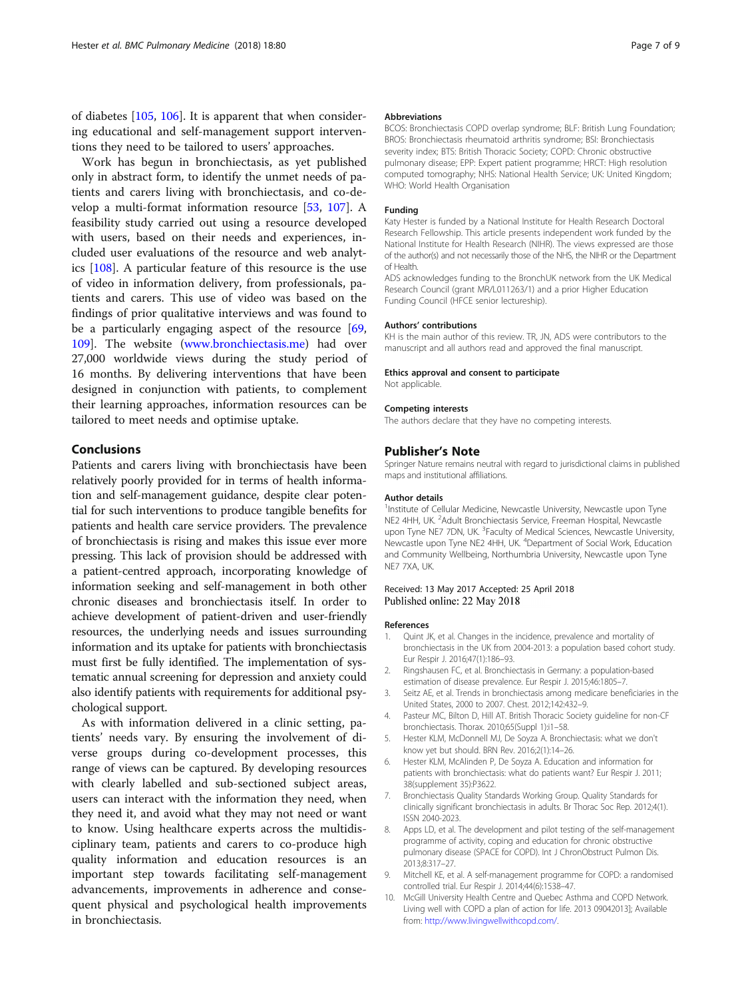<span id="page-6-0"></span>of diabetes [\[105,](#page-8-0) [106\]](#page-8-0). It is apparent that when considering educational and self-management support interventions they need to be tailored to users' approaches.

Work has begun in bronchiectasis, as yet published only in abstract form, to identify the unmet needs of patients and carers living with bronchiectasis, and co-develop a multi-format information resource [\[53,](#page-7-0) [107](#page-8-0)]. A feasibility study carried out using a resource developed with users, based on their needs and experiences, included user evaluations of the resource and web analytics [\[108\]](#page-8-0). A particular feature of this resource is the use of video in information delivery, from professionals, patients and carers. This use of video was based on the findings of prior qualitative interviews and was found to be a particularly engaging aspect of the resource [[69](#page-7-0), [109](#page-8-0)]. The website ([www.bronchiectasis.me\)](http://www.bronchiectasis.me) had over 27,000 worldwide views during the study period of 16 months. By delivering interventions that have been designed in conjunction with patients, to complement their learning approaches, information resources can be tailored to meet needs and optimise uptake.

## Conclusions

Patients and carers living with bronchiectasis have been relatively poorly provided for in terms of health information and self-management guidance, despite clear potential for such interventions to produce tangible benefits for patients and health care service providers. The prevalence of bronchiectasis is rising and makes this issue ever more pressing. This lack of provision should be addressed with a patient-centred approach, incorporating knowledge of information seeking and self-management in both other chronic diseases and bronchiectasis itself. In order to achieve development of patient-driven and user-friendly resources, the underlying needs and issues surrounding information and its uptake for patients with bronchiectasis must first be fully identified. The implementation of systematic annual screening for depression and anxiety could also identify patients with requirements for additional psychological support.

As with information delivered in a clinic setting, patients' needs vary. By ensuring the involvement of diverse groups during co-development processes, this range of views can be captured. By developing resources with clearly labelled and sub-sectioned subject areas, users can interact with the information they need, when they need it, and avoid what they may not need or want to know. Using healthcare experts across the multidisciplinary team, patients and carers to co-produce high quality information and education resources is an important step towards facilitating self-management advancements, improvements in adherence and consequent physical and psychological health improvements in bronchiectasis.

#### Abbreviations

BCOS: Bronchiectasis COPD overlap syndrome; BLF: British Lung Foundation; BROS: Bronchiectasis rheumatoid arthritis syndrome; BSI: Bronchiectasis severity index; BTS: British Thoracic Society; COPD: Chronic obstructive pulmonary disease; EPP: Expert patient programme; HRCT: High resolution computed tomography; NHS: National Health Service; UK: United Kingdom; WHO: World Health Organisation

#### Funding

Katy Hester is funded by a National Institute for Health Research Doctoral Research Fellowship. This article presents independent work funded by the National Institute for Health Research (NIHR). The views expressed are those of the author(s) and not necessarily those of the NHS, the NIHR or the Department of Health.

ADS acknowledges funding to the BronchUK network from the UK Medical Research Council (grant MR/L011263/1) and a prior Higher Education Funding Council (HFCE senior lectureship).

#### Authors' contributions

KH is the main author of this review. TR, JN, ADS were contributors to the manuscript and all authors read and approved the final manuscript.

#### Ethics approval and consent to participate

Not applicable.

#### Competing interests

The authors declare that they have no competing interests.

#### Publisher's Note

Springer Nature remains neutral with regard to jurisdictional claims in published maps and institutional affiliations.

#### Author details

<sup>1</sup>Institute of Cellular Medicine, Newcastle University, Newcastle upon Tyne NE2 4HH, UK. <sup>2</sup> Adult Bronchiectasis Service, Freeman Hospital, Newcastle upon Tyne NE7 7DN, UK. <sup>3</sup>Faculty of Medical Sciences, Newcastle University, Newcastle upon Tyne NE2 4HH, UK. <sup>4</sup> Department of Social Work, Education and Community Wellbeing, Northumbria University, Newcastle upon Tyne NE7 7XA, UK.

#### Received: 13 May 2017 Accepted: 25 April 2018 Published online: 22 May 2018

#### References

- 1. Quint JK, et al. Changes in the incidence, prevalence and mortality of bronchiectasis in the UK from 2004-2013: a population based cohort study. Eur Respir J. 2016;47(1):186–93.
- 2. Ringshausen FC, et al. Bronchiectasis in Germany: a population-based estimation of disease prevalence. Eur Respir J. 2015;46:1805–7.
- 3. Seitz AE, et al. Trends in bronchiectasis among medicare beneficiaries in the United States, 2000 to 2007. Chest. 2012;142:432–9.
- 4. Pasteur MC, Bilton D, Hill AT. British Thoracic Society guideline for non-CF bronchiectasis. Thorax. 2010;65(Suppl 1):i1–58.
- 5. Hester KLM, McDonnell MJ, De Soyza A. Bronchiectasis: what we don't know yet but should. BRN Rev. 2016;2(1):14–26.
- 6. Hester KLM, McAlinden P, De Soyza A. Education and information for patients with bronchiectasis: what do patients want? Eur Respir J. 2011; 38(supplement 35):P3622.
- 7. Bronchiectasis Quality Standards Working Group. Quality Standards for clinically significant bronchiectasis in adults. Br Thorac Soc Rep. 2012;4(1). ISSN 2040-2023.
- 8. Apps LD, et al. The development and pilot testing of the self-management programme of activity, coping and education for chronic obstructive pulmonary disease (SPACE for COPD). Int J ChronObstruct Pulmon Dis. 2013;8:317–27.
- 9. Mitchell KE, et al. A self-management programme for COPD: a randomised controlled trial. Eur Respir J. 2014;44(6):1538–47.
- 10. McGill University Health Centre and Quebec Asthma and COPD Network. Living well with COPD a plan of action for life. 2013 09042013]; Available from: <http://www.livingwellwithcopd.com/>.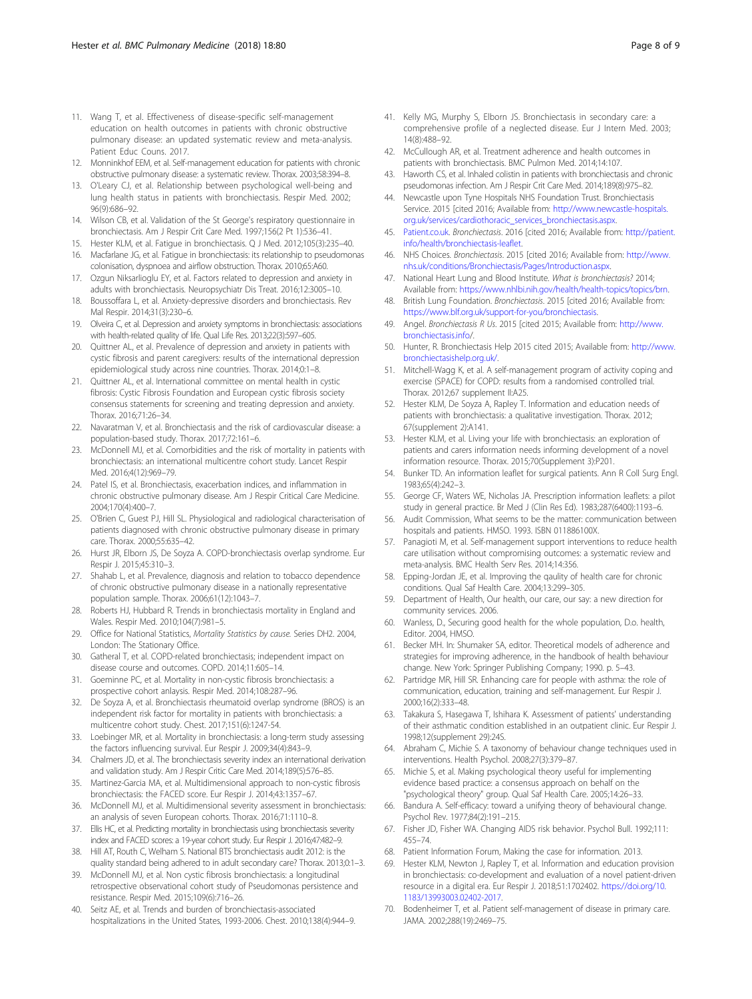- <span id="page-7-0"></span>11. Wang T, et al. Effectiveness of disease-specific self-management education on health outcomes in patients with chronic obstructive pulmonary disease: an updated systematic review and meta-analysis. Patient Educ Couns. 2017.
- 12. Monninkhof EEM, et al. Self-management education for patients with chronic obstructive pulmonary disease: a systematic review. Thorax. 2003;58:394–8.
- 13. O'Leary CJ, et al. Relationship between psychological well-being and lung health status in patients with bronchiectasis. Respir Med. 2002; 96(9):686–92.
- 14. Wilson CB, et al. Validation of the St George's respiratory questionnaire in bronchiectasis. Am J Respir Crit Care Med. 1997;156(2 Pt 1):536–41.
- 15. Hester KLM, et al. Fatigue in bronchiectasis. Q J Med. 2012;105(3):235–40.
- 16. Macfarlane JG, et al. Fatigue in bronchiectasis: its relationship to pseudomonas colonisation, dyspnoea and airflow obstruction. Thorax. 2010;65:A60.
- 17. Ozgun Niksarlioglu EY, et al. Factors related to depression and anxiety in adults with bronchiectasis. Neuropsychiatr Dis Treat. 2016;12:3005–10.
- 18. Boussoffara L, et al. Anxiety-depressive disorders and bronchiectasis. Rev Mal Respir. 2014;31(3):230–6.
- 19. Olveira C, et al. Depression and anxiety symptoms in bronchiectasis: associations with health-related quality of life. Qual Life Res. 2013;22(3):597–605.
- 20. Quittner AL, et al. Prevalence of depression and anxiety in patients with cystic fibrosis and parent caregivers: results of the international depression epidemiological study across nine countries. Thorax. 2014;0:1–8.
- 21. Quittner AL, et al. International committee on mental health in cystic fibrosis: Cystic Fibrosis Foundation and European cystic fibrosis society consensus statements for screening and treating depression and anxiety. Thorax. 2016;71:26–34.
- 22. Navaratman V, et al. Bronchiectasis and the risk of cardiovascular disease: a population-based study. Thorax. 2017;72:161–6.
- 23. McDonnell MJ, et al. Comorbidities and the risk of mortality in patients with bronchiectasis: an international multicentre cohort study. Lancet Respir Med. 2016;4(12):969–79.
- 24. Patel IS, et al. Bronchiectasis, exacerbation indices, and inflammation in chronic obstructive pulmonary disease. Am J Respir Critical Care Medicine. 2004;170(4):400–7.
- 25. O'Brien C, Guest PJ, Hill SL. Physiological and radiological characterisation of patients diagnosed with chronic obstructive pulmonary disease in primary care. Thorax. 2000;55:635–42.
- 26. Hurst JR, Elborn JS, De Soyza A. COPD-bronchiectasis overlap syndrome. Eur Respir J. 2015;45:310–3.
- 27. Shahab L, et al. Prevalence, diagnosis and relation to tobacco dependence of chronic obstructive pulmonary disease in a nationally representative population sample. Thorax. 2006;61(12):1043–7.
- 28. Roberts HJ, Hubbard R. Trends in bronchiectasis mortality in England and Wales. Respir Med. 2010;104(7):981–5.
- 29. Office for National Statistics, Mortality Statistics by cause. Series DH2. 2004, London: The Stationary Office.
- 30. Gatheral T, et al. COPD-related bronchiectasis; independent impact on disease course and outcomes. COPD. 2014;11:605–14.
- 31. Goeminne PC, et al. Mortality in non-cystic fibrosis bronchiectasis: a prospective cohort anlaysis. Respir Med. 2014;108:287–96.
- 32. De Soyza A, et al. Bronchiectasis rheumatoid overlap syndrome (BROS) is an independent risk factor for mortality in patients with bronchiectasis: a multicentre cohort study. Chest. 2017;151(6):1247-54.
- 33. Loebinger MR, et al. Mortality in bronchiectasis: a long-term study assessing the factors influencing survival. Eur Respir J. 2009;34(4):843–9.
- 34. Chalmers JD, et al. The bronchiectasis severity index an international derivation and validation study. Am J Respir Critic Care Med. 2014;189(5):576–85.
- 35. Martinez-Garcia MA, et al. Multidimensional approach to non-cystic fibrosis bronchiectasis: the FACED score. Eur Respir J. 2014;43:1357–67.
- 36. McDonnell MJ, et al. Multidimensional severity assessment in bronchiectasis: an analysis of seven European cohorts. Thorax. 2016;71:1110–8.
- 37. Ellis HC, et al. Predicting mortality in bronchiectasis using bronchiectasis severity index and FACED scores: a 19-year cohort study. Eur Respir J. 2016;47:482–9.
- 38. Hill AT, Routh C, Welham S. National BTS bronchiectasis audit 2012: is the quality standard being adhered to in adult secondary care? Thorax. 2013;0:1–3.
- 39. McDonnell MJ, et al. Non cystic fibrosis bronchiectasis: a longitudinal retrospective observational cohort study of Pseudomonas persistence and resistance. Respir Med. 2015;109(6):716–26.
- 40. Seitz AE, et al. Trends and burden of bronchiectasis-associated hospitalizations in the United States, 1993-2006. Chest. 2010;138(4):944–9.
- 41. Kelly MG, Murphy S, Elborn JS. Bronchiectasis in secondary care: a comprehensive profile of a neglected disease. Eur J Intern Med. 2003; 14(8):488–92.
- 42. McCullough AR, et al. Treatment adherence and health outcomes in patients with bronchiectasis. BMC Pulmon Med. 2014;14:107.
- 43. Haworth CS, et al. Inhaled colistin in patients with bronchiectasis and chronic pseudomonas infection. Am J Respir Crit Care Med. 2014;189(8):975–82.
- 44. Newcastle upon Tyne Hospitals NHS Foundation Trust. Bronchiectasis Service. 2015 [cited 2016; Available from: [http://www.newcastle-hospitals.](http://www.newcastle-hospitals.org.uk/services/cardiothoracic_services_bronchiectasis.aspx) [org.uk/services/cardiothoracic\\_services\\_bronchiectasis.aspx.](http://www.newcastle-hospitals.org.uk/services/cardiothoracic_services_bronchiectasis.aspx)
- 45. [Patient.co.uk](http://patient.co.uk). Bronchiectasis. 2016 [cited 2016; Available from: [http://patient.](http://patient.info/health/bronchiectasis-leaflet) [info/health/bronchiectasis-leaflet.](http://patient.info/health/bronchiectasis-leaflet)
- 46. NHS Choices. Bronchiectasis. 2015 [cited 2016; Available from: [http://www.](http://www.nhs.uk/conditions/Bronchiectasis/Pages/Introduction.aspx) [nhs.uk/conditions/Bronchiectasis/Pages/Introduction.aspx](http://www.nhs.uk/conditions/Bronchiectasis/Pages/Introduction.aspx).
- 47. National Heart Lung and Blood Institute. What is bronchiectasis? 2014; Available from: <https://www.nhlbi.nih.gov/health/health-topics/topics/brn>.
- 48. British Lung Foundation. Bronchiectasis. 2015 [cited 2016; Available from: [https://www.blf.org.uk/support-for-you/bronchiectasis.](https://www.blf.org.uk/support-for-you/bronchiectasis)
- 49. Angel. Bronchiectasis R Us. 2015 [cited 2015; Available from: [http://www.](http://www.bronchiectasis.info) [bronchiectasis.info](http://www.bronchiectasis.info)/.
- 50. Hunter, R. Bronchiectasis Help 2015 cited 2015; Available from: [http://www.](http://www.bronchiectasishelp.org.uk/) [bronchiectasishelp.org.uk/.](http://www.bronchiectasishelp.org.uk/)
- 51. Mitchell-Wagg K, et al. A self-management program of activity coping and exercise (SPACE) for COPD: results from a randomised controlled trial. Thorax. 2012;67 supplement II:A25.
- 52. Hester KLM, De Soyza A, Rapley T. Information and education needs of patients with bronchiectasis: a qualitative investigation. Thorax. 2012; 67(supplement 2):A141.
- 53. Hester KLM, et al. Living your life with bronchiectasis: an exploration of patients and carers information needs informing development of a novel information resource. Thorax. 2015;70(Supplement 3):P201.
- 54. Bunker TD. An information leaflet for surgical patients. Ann R Coll Surg Engl. 1983;65(4):242–3.
- 55. George CF, Waters WE, Nicholas JA. Prescription information leaflets: a pilot study in general practice. Br Med J (Clin Res Ed). 1983;287(6400):1193–6.
- 56. Audit Commission, What seems to be the matter: communication between hospitals and patients. HMSO. 1993. ISBN 011886100X.
- 57. Panagioti M, et al. Self-management support interventions to reduce health care utilisation without compromising outcomes: a systematic review and meta-analysis. BMC Health Serv Res. 2014;14:356.
- 58. Epping-Jordan JE, et al. Improving the qaulity of health care for chronic conditions. Qual Saf Health Care. 2004;13:299–305.
- Department of Health, Our health, our care, our say: a new direction for community services. 2006.
- 60. Wanless, D., Securing good health for the whole population, D.o. health, Editor. 2004, HMSO.
- 61. Becker MH. In: Shumaker SA, editor. Theoretical models of adherence and strategies for improving adherence, in the handbook of health behaviour change. New York: Springer Publishing Company; 1990. p. 5–43.
- 62. Partridge MR, Hill SR. Enhancing care for people with asthma: the role of communication, education, training and self-management. Eur Respir J. 2000;16(2):333–48.
- 63. Takakura S, Hasegawa T, Ishihara K. Assessment of patients' understanding of their asthmatic condition established in an outpatient clinic. Eur Respir J. 1998;12(supplement 29):24S.
- 64. Abraham C, Michie S. A taxonomy of behaviour change techniques used in interventions. Health Psychol. 2008;27(3):379–87.
- 65. Michie S, et al. Making psychological theory useful for implementing evidence based practice: a consensus approach on behalf on the "psychological theory" group. Qual Saf Health Care. 2005;14:26–33.
- Bandura A. Self-efficacy: toward a unifying theory of behavioural change. Psychol Rev. 1977;84(2):191–215.
- 67. Fisher JD, Fisher WA. Changing AIDS risk behavior. Psychol Bull. 1992;111: 455–74.
- 68. Patient Information Forum, Making the case for information. 2013.
- 69. Hester KLM, Newton J, Rapley T, et al. Information and education provision in bronchiectasis: co-development and evaluation of a novel patient-driven resource in a digital era. Eur Respir J. 2018;51:1702402. [https://doi.org/10.](https://doi.org/10.1183/13993003.02402-2017) [1183/13993003.02402-2017](https://doi.org/10.1183/13993003.02402-2017).
- 70. Bodenheimer T, et al. Patient self-management of disease in primary care. JAMA. 2002;288(19):2469–75.